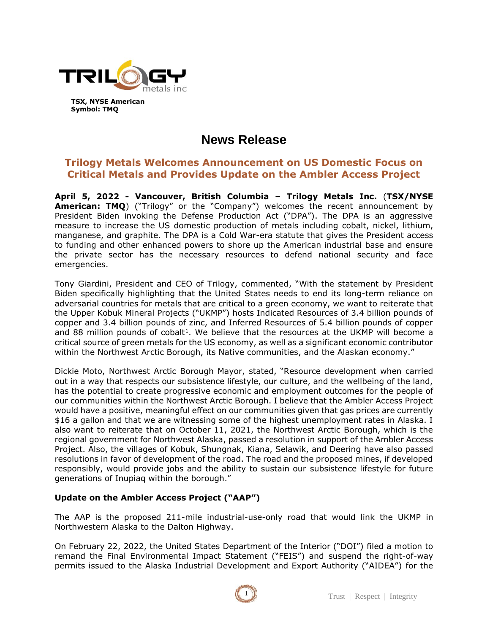

**TSX, NYSE American Symbol: TMQ**

# **News Release**

## **Trilogy Metals Welcomes Announcement on US Domestic Focus on Critical Metals and Provides Update on the Ambler Access Project**

**April 5, 2022 - Vancouver, British Columbia – Trilogy Metals Inc.** (**TSX/NYSE American: TMQ**) ("Trilogy" or the "Company") welcomes the recent announcement by President Biden invoking the Defense Production Act ("DPA"). The DPA is an aggressive measure to increase the US domestic production of metals including cobalt, nickel, lithium, manganese, and graphite. The DPA is a Cold War-era statute that gives the President access to funding and other enhanced powers to shore up the American industrial base and ensure the private sector has the necessary resources to defend national security and face emergencies.

Tony Giardini, President and CEO of Trilogy, commented, "With the statement by President Biden specifically highlighting that the United States needs to end its long-term reliance on adversarial countries for metals that are critical to a green economy, we want to reiterate that the Upper Kobuk Mineral Projects ("UKMP") hosts Indicated Resources of 3.4 billion pounds of copper and 3.4 billion pounds of zinc, and Inferred Resources of 5.4 billion pounds of copper and 88 million pounds of cobalt<sup>1</sup>. We believe that the resources at the UKMP will become a critical source of green metals for the US economy, as well as a significant economic contributor within the Northwest Arctic Borough, its Native communities, and the Alaskan economy."

Dickie Moto, Northwest Arctic Borough Mayor, stated, "Resource development when carried out in a way that respects our subsistence lifestyle, our culture, and the wellbeing of the land, has the potential to create progressive economic and employment outcomes for the people of our communities within the Northwest Arctic Borough. I believe that the Ambler Access Project would have a positive, meaningful effect on our communities given that gas prices are currently \$16 a gallon and that we are witnessing some of the highest unemployment rates in Alaska. I also want to reiterate that on October 11, 2021, the Northwest Arctic Borough, which is the regional government for Northwest Alaska, passed a resolution in support of the Ambler Access Project. Also, the villages of Kobuk, Shungnak, Kiana, Selawik, and Deering have also passed resolutions in favor of development of the road. The road and the proposed mines, if developed responsibly, would provide jobs and the ability to sustain our subsistence lifestyle for future generations of Inupiaq within the borough."

### **Update on the Ambler Access Project ("AAP")**

The AAP is the proposed 211-mile industrial-use-only road that would link the UKMP in Northwestern Alaska to the Dalton Highway.

On February 22, 2022, the United States Department of the Interior ("DOI") filed a motion to remand the Final Environmental Impact Statement ("FEIS") and suspend the right-of-way permits issued to the Alaska Industrial Development and Export Authority ("AIDEA") for the

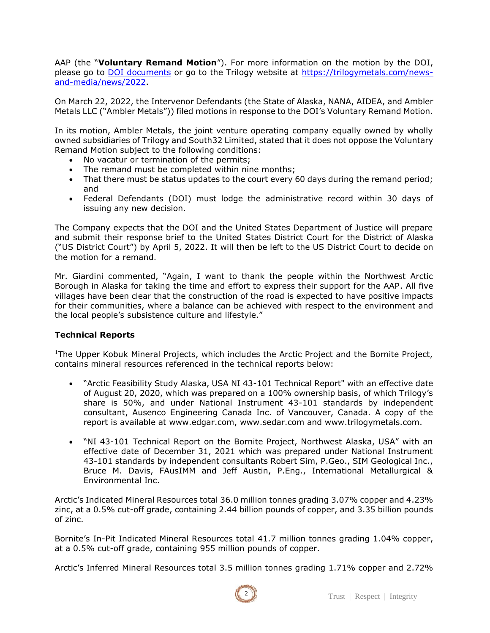AAP (the "**Voluntary Remand Motion**"). For more information on the motion by the DOI, please go to DOI [documents](https://s3.documentcloud.org/documents/21272672/blm-request-for-remand-in-ambler-case-22222.pdf) or go to the Trilogy website at [https://trilogymetals.com/news](https://trilogymetals.com/news-and-media/news/2022)[and-media/news/2022.](https://trilogymetals.com/news-and-media/news/2022)

On March 22, 2022, the Intervenor Defendants (the State of Alaska, NANA, AIDEA, and Ambler Metals LLC ("Ambler Metals")) filed motions in response to the DOI's Voluntary Remand Motion.

In its motion, Ambler Metals, the joint venture operating company equally owned by wholly owned subsidiaries of Trilogy and South32 Limited, stated that it does not oppose the Voluntary Remand Motion subject to the following conditions:

- No vacatur or termination of the permits;
- The remand must be completed within nine months;
- That there must be status updates to the court every 60 days during the remand period; and
- Federal Defendants (DOI) must lodge the administrative record within 30 days of issuing any new decision.

The Company expects that the DOI and the United States Department of Justice will prepare and submit their response brief to the United States District Court for the District of Alaska ("US District Court") by April 5, 2022. It will then be left to the US District Court to decide on the motion for a remand.

Mr. Giardini commented, "Again, I want to thank the people within the Northwest Arctic Borough in Alaska for taking the time and effort to express their support for the AAP. All five villages have been clear that the construction of the road is expected to have positive impacts for their communities, where a balance can be achieved with respect to the environment and the local people's subsistence culture and lifestyle."

### **Technical Reports**

<sup>1</sup>The Upper Kobuk Mineral Projects, which includes the Arctic Project and the Bornite Project, contains mineral resources referenced in the technical reports below:

- "Arctic Feasibility Study Alaska, USA NI 43-101 Technical Report" with an effective date of August 20, 2020, which was prepared on a 100% ownership basis, of which Trilogy's share is 50%, and under National Instrument 43-101 standards by independent consultant, Ausenco Engineering Canada Inc. of Vancouver, Canada. A copy of the report is available at www.edgar.com, www.sedar.com and www.trilogymetals.com.
- "NI 43-101 Technical Report on the Bornite Project, Northwest Alaska, USA" with an effective date of December 31, 2021 which was prepared under National Instrument 43-101 standards by independent consultants Robert Sim, P.Geo., SIM Geological Inc., Bruce M. Davis, FAusIMM and Jeff Austin, P.Eng., International Metallurgical & Environmental Inc.

Arctic's Indicated Mineral Resources total 36.0 million tonnes grading 3.07% copper and 4.23% zinc, at a 0.5% cut-off grade, containing 2.44 billion pounds of copper, and 3.35 billion pounds of zinc.

Bornite's In-Pit Indicated Mineral Resources total 41.7 million tonnes grading 1.04% copper, at a 0.5% cut-off grade, containing 955 million pounds of copper.

Arctic's Inferred Mineral Resources total 3.5 million tonnes grading 1.71% copper and 2.72%

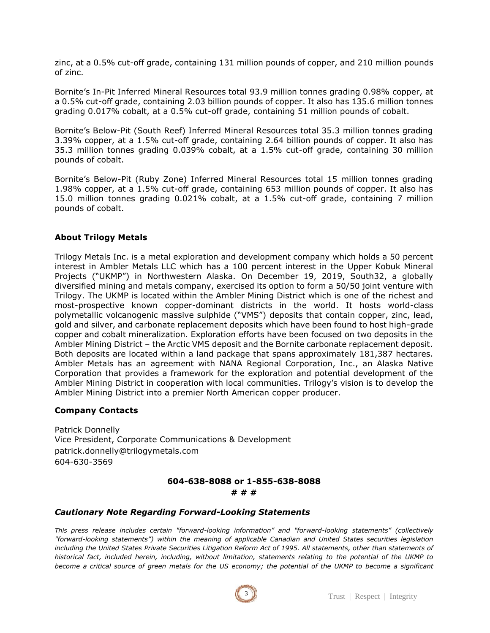zinc, at a 0.5% cut-off grade, containing 131 million pounds of copper, and 210 million pounds of zinc.

Bornite's In-Pit Inferred Mineral Resources total 93.9 million tonnes grading 0.98% copper, at a 0.5% cut-off grade, containing 2.03 billion pounds of copper. It also has 135.6 million tonnes grading 0.017% cobalt, at a 0.5% cut-off grade, containing 51 million pounds of cobalt.

Bornite's Below-Pit (South Reef) Inferred Mineral Resources total 35.3 million tonnes grading 3.39% copper, at a 1.5% cut-off grade, containing 2.64 billion pounds of copper. It also has 35.3 million tonnes grading 0.039% cobalt, at a 1.5% cut-off grade, containing 30 million pounds of cobalt.

Bornite's Below-Pit (Ruby Zone) Inferred Mineral Resources total 15 million tonnes grading 1.98% copper, at a 1.5% cut-off grade, containing 653 million pounds of copper. It also has 15.0 million tonnes grading 0.021% cobalt, at a 1.5% cut-off grade, containing 7 million pounds of cobalt.

#### **About Trilogy Metals**

Trilogy Metals Inc. is a metal exploration and development company which holds a 50 percent interest in Ambler Metals LLC which has a 100 percent interest in the Upper Kobuk Mineral Projects ("UKMP") in Northwestern Alaska. On December 19, 2019, South32, a globally diversified mining and metals company, exercised its option to form a 50/50 joint venture with Trilogy. The UKMP is located within the Ambler Mining District which is one of the richest and most-prospective known copper-dominant districts in the world. It hosts world-class polymetallic volcanogenic massive sulphide ("VMS") deposits that contain copper, zinc, lead, gold and silver, and carbonate replacement deposits which have been found to host high-grade copper and cobalt mineralization. Exploration efforts have been focused on two deposits in the Ambler Mining District – the Arctic VMS deposit and the Bornite carbonate replacement deposit. Both deposits are located within a land package that spans approximately 181,387 hectares. Ambler Metals has an agreement with NANA Regional Corporation, Inc., an Alaska Native Corporation that provides a framework for the exploration and potential development of the Ambler Mining District in cooperation with local communities. Trilogy's vision is to develop the Ambler Mining District into a premier North American copper producer.

#### **Company Contacts**

Patrick Donnelly Vice President, Corporate Communications & Development patrick.donnelly@trilogymetals.com 604-630-3569

#### **604-638-8088 or 1-855-638-8088 # # #**

#### *Cautionary Note Regarding Forward-Looking Statements*

*This press release includes certain "forward-looking information" and "forward-looking statements" (collectively "forward-looking statements") within the meaning of applicable Canadian and United States securities legislation including the United States Private Securities Litigation Reform Act of 1995. All statements, other than statements of historical fact, included herein, including, without limitation, statements relating to the potential of the UKMP to become a critical source of green metals for the US economy; the potential of the UKMP to become a significant*